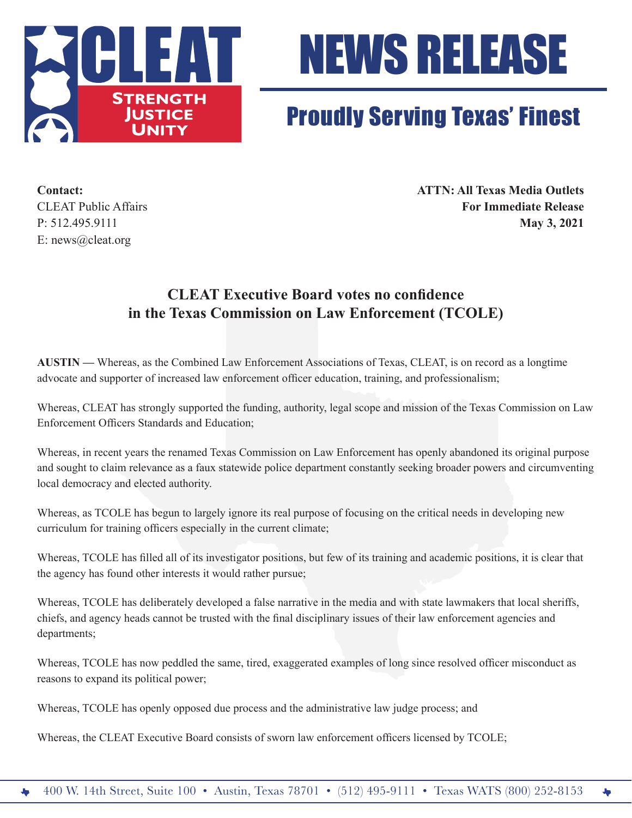



## Proudly Serving Texas' Finest

E: news@cleat.org

**Contact: ATTN: All Texas Media Outlets** CLEAT Public Affairs **For Immediate Release** P: 512.495.9111 **May 3, 2021**

## **CLEAT Executive Board votes no confidence in the Texas Commission on Law Enforcement (TCOLE)**

**AUSTIN —** Whereas, as the Combined Law Enforcement Associations of Texas, CLEAT, is on record as a longtime advocate and supporter of increased law enforcement officer education, training, and professionalism;

Whereas, CLEAT has strongly supported the funding, authority, legal scope and mission of the Texas Commission on Law Enforcement Officers Standards and Education;

Whereas, in recent years the renamed Texas Commission on Law Enforcement has openly abandoned its original purpose and sought to claim relevance as a faux statewide police department constantly seeking broader powers and circumventing local democracy and elected authority.

Whereas, as TCOLE has begun to largely ignore its real purpose of focusing on the critical needs in developing new curriculum for training officers especially in the current climate;

Whereas, TCOLE has filled all of its investigator positions, but few of its training and academic positions, it is clear that the agency has found other interests it would rather pursue;

Whereas, TCOLE has deliberately developed a false narrative in the media and with state lawmakers that local sheriffs, chiefs, and agency heads cannot be trusted with the final disciplinary issues of their law enforcement agencies and departments;

Whereas, TCOLE has now peddled the same, tired, exaggerated examples of long since resolved officer misconduct as reasons to expand its political power;

Whereas, TCOLE has openly opposed due process and the administrative law judge process; and

Whereas, the CLEAT Executive Board consists of sworn law enforcement officers licensed by TCOLE;